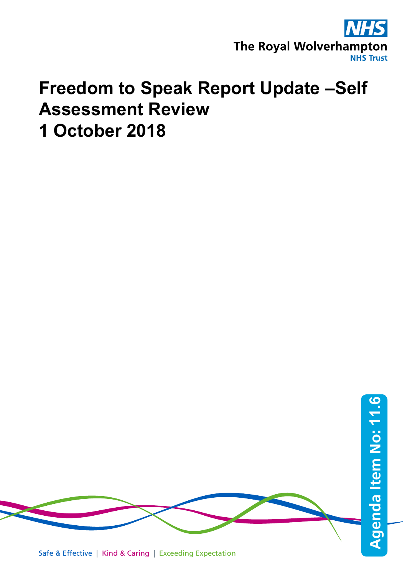

# **Freedom to Speak Report Update –Self Assessment Review 1 October 2018**



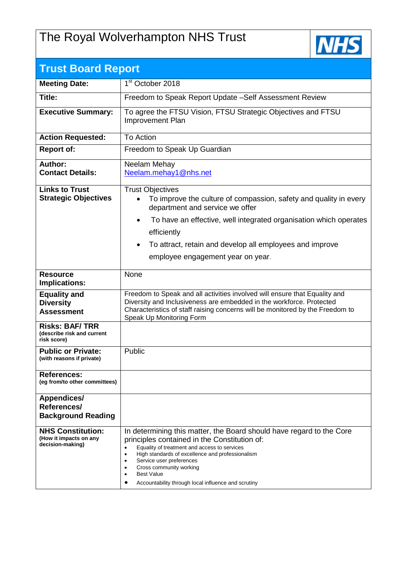## The Royal Wolverhampton NHS Trust



| <b>Trust Board Report</b>                                              |                                                                                                                                                                                                                                                                                                                                                                                            |
|------------------------------------------------------------------------|--------------------------------------------------------------------------------------------------------------------------------------------------------------------------------------------------------------------------------------------------------------------------------------------------------------------------------------------------------------------------------------------|
| <b>Meeting Date:</b>                                                   | 1 <sup>st</sup> October 2018                                                                                                                                                                                                                                                                                                                                                               |
| Title:                                                                 | Freedom to Speak Report Update -Self Assessment Review                                                                                                                                                                                                                                                                                                                                     |
| <b>Executive Summary:</b>                                              | To agree the FTSU Vision, FTSU Strategic Objectives and FTSU<br>Improvement Plan                                                                                                                                                                                                                                                                                                           |
| <b>Action Requested:</b>                                               | To Action                                                                                                                                                                                                                                                                                                                                                                                  |
| <b>Report of:</b>                                                      | Freedom to Speak Up Guardian                                                                                                                                                                                                                                                                                                                                                               |
| Author:<br><b>Contact Details:</b>                                     | Neelam Mehay<br>Neelam.mehay1@nhs.net                                                                                                                                                                                                                                                                                                                                                      |
| <b>Links to Trust</b><br><b>Strategic Objectives</b>                   | <b>Trust Objectives</b><br>To improve the culture of compassion, safety and quality in every<br>$\bullet$<br>department and service we offer<br>To have an effective, well integrated organisation which operates<br>$\bullet$<br>efficiently<br>To attract, retain and develop all employees and improve<br>$\bullet$<br>employee engagement year on year.                                |
| <b>Resource</b><br>Implications:                                       | None                                                                                                                                                                                                                                                                                                                                                                                       |
| <b>Equality and</b><br><b>Diversity</b><br><b>Assessment</b>           | Freedom to Speak and all activities involved will ensure that Equality and<br>Diversity and Inclusiveness are embedded in the workforce. Protected<br>Characteristics of staff raising concerns will be monitored by the Freedom to<br>Speak Up Monitoring Form                                                                                                                            |
| <b>Risks: BAF/TRR</b><br>(describe risk and current<br>risk score)     |                                                                                                                                                                                                                                                                                                                                                                                            |
| <b>Public or Private:</b><br>(with reasons if private)                 | Public                                                                                                                                                                                                                                                                                                                                                                                     |
| <b>References:</b><br>(eq from/to other committees)                    |                                                                                                                                                                                                                                                                                                                                                                                            |
| <b>Appendices/</b><br>References/<br><b>Background Reading</b>         |                                                                                                                                                                                                                                                                                                                                                                                            |
| <b>NHS Constitution:</b><br>(How it impacts on any<br>decision-making) | In determining this matter, the Board should have regard to the Core<br>principles contained in the Constitution of:<br>Equality of treatment and access to services<br>$\bullet$<br>High standards of excellence and professionalism<br>Service user preferences<br>$\bullet$<br>Cross community working<br><b>Best Value</b><br>٠<br>Accountability through local influence and scrutiny |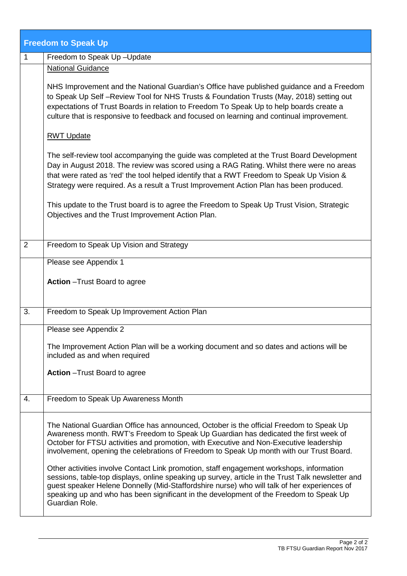|    | <b>Freedom to Speak Up</b>                                                                                                                                                                                                                                                                                                                                                                                                                                                                                                                                                                                                                                                                                                                                                       |
|----|----------------------------------------------------------------------------------------------------------------------------------------------------------------------------------------------------------------------------------------------------------------------------------------------------------------------------------------------------------------------------------------------------------------------------------------------------------------------------------------------------------------------------------------------------------------------------------------------------------------------------------------------------------------------------------------------------------------------------------------------------------------------------------|
| 1  | Freedom to Speak Up-Update                                                                                                                                                                                                                                                                                                                                                                                                                                                                                                                                                                                                                                                                                                                                                       |
|    | <b>National Guidance</b>                                                                                                                                                                                                                                                                                                                                                                                                                                                                                                                                                                                                                                                                                                                                                         |
|    | NHS Improvement and the National Guardian's Office have published guidance and a Freedom<br>to Speak Up Self-Review Tool for NHS Trusts & Foundation Trusts (May, 2018) setting out<br>expectations of Trust Boards in relation to Freedom To Speak Up to help boards create a<br>culture that is responsive to feedback and focused on learning and continual improvement.                                                                                                                                                                                                                                                                                                                                                                                                      |
|    | <b>RWT Update</b>                                                                                                                                                                                                                                                                                                                                                                                                                                                                                                                                                                                                                                                                                                                                                                |
|    | The self-review tool accompanying the guide was completed at the Trust Board Development<br>Day in August 2018. The review was scored using a RAG Rating. Whilst there were no areas<br>that were rated as 'red' the tool helped identify that a RWT Freedom to Speak Up Vision &<br>Strategy were required. As a result a Trust Improvement Action Plan has been produced.                                                                                                                                                                                                                                                                                                                                                                                                      |
|    | This update to the Trust board is to agree the Freedom to Speak Up Trust Vision, Strategic<br>Objectives and the Trust Improvement Action Plan.                                                                                                                                                                                                                                                                                                                                                                                                                                                                                                                                                                                                                                  |
| 2  | Freedom to Speak Up Vision and Strategy                                                                                                                                                                                                                                                                                                                                                                                                                                                                                                                                                                                                                                                                                                                                          |
|    | Please see Appendix 1                                                                                                                                                                                                                                                                                                                                                                                                                                                                                                                                                                                                                                                                                                                                                            |
|    | <b>Action</b> - Trust Board to agree                                                                                                                                                                                                                                                                                                                                                                                                                                                                                                                                                                                                                                                                                                                                             |
| 3. | Freedom to Speak Up Improvement Action Plan                                                                                                                                                                                                                                                                                                                                                                                                                                                                                                                                                                                                                                                                                                                                      |
|    | Please see Appendix 2                                                                                                                                                                                                                                                                                                                                                                                                                                                                                                                                                                                                                                                                                                                                                            |
|    | The Improvement Action Plan will be a working document and so dates and actions will be<br>included as and when required                                                                                                                                                                                                                                                                                                                                                                                                                                                                                                                                                                                                                                                         |
|    | Action - Trust Board to agree                                                                                                                                                                                                                                                                                                                                                                                                                                                                                                                                                                                                                                                                                                                                                    |
| 4. | Freedom to Speak Up Awareness Month                                                                                                                                                                                                                                                                                                                                                                                                                                                                                                                                                                                                                                                                                                                                              |
|    | The National Guardian Office has announced, October is the official Freedom to Speak Up<br>Awareness month. RWT's Freedom to Speak Up Guardian has dedicated the first week of<br>October for FTSU activities and promotion, with Executive and Non-Executive leadership<br>involvement, opening the celebrations of Freedom to Speak Up month with our Trust Board.<br>Other activities involve Contact Link promotion, staff engagement workshops, information<br>sessions, table-top displays, online speaking up survey, article in the Trust Talk newsletter and<br>guest speaker Helene Donnelly (Mid-Staffordshire nurse) who will talk of her experiences of<br>speaking up and who has been significant in the development of the Freedom to Speak Up<br>Guardian Role. |
|    |                                                                                                                                                                                                                                                                                                                                                                                                                                                                                                                                                                                                                                                                                                                                                                                  |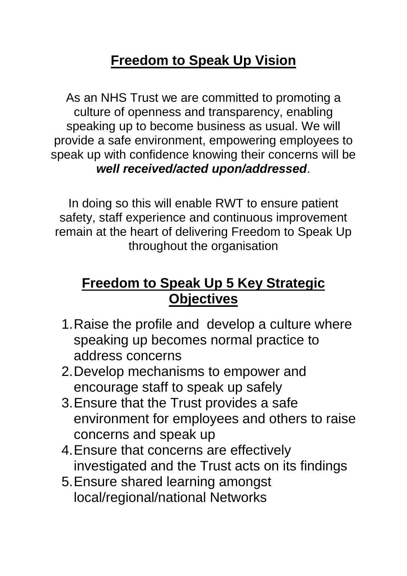# **Freedom to Speak Up Vision**

As an NHS Trust we are committed to promoting a culture of openness and transparency, enabling speaking up to become business as usual. We will provide a safe environment, empowering employees to speak up with confidence knowing their concerns will be *well received/acted upon/addressed*.

In doing so this will enable RWT to ensure patient safety, staff experience and continuous improvement remain at the heart of delivering Freedom to Speak Up throughout the organisation

# **Freedom to Speak Up 5 Key Strategic Objectives**

- 1.Raise the profile and develop a culture where speaking up becomes normal practice to address concerns
- 2.Develop mechanisms to empower and encourage staff to speak up safely
- 3.Ensure that the Trust provides a safe environment for employees and others to raise concerns and speak up
- 4.Ensure that concerns are effectively investigated and the Trust acts on its findings
- 5.Ensure shared learning amongst local/regional/national Networks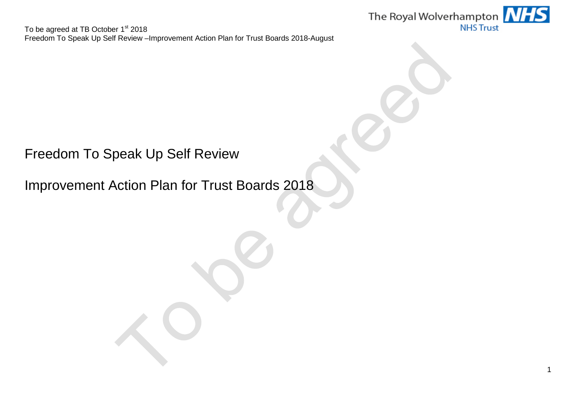

Freedom To Speak Up Self Review

Improvement Action Plan for Trust Boards 2018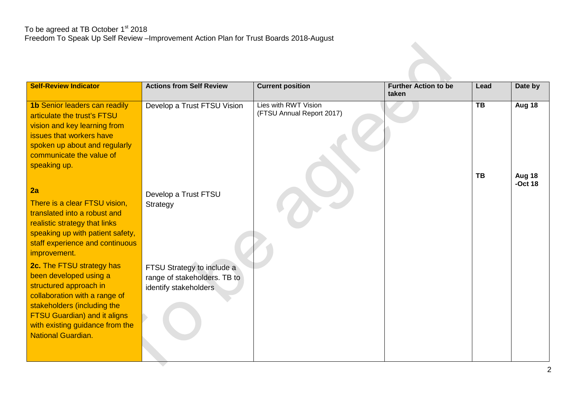| <b>Self-Review Indicator</b>                                                                                                                                                                                                                                | <b>Actions from Self Review</b>                                                     | <b>Current position</b>                           | <b>Further Action to be</b><br>taken | Lead                  | Date by                       |
|-------------------------------------------------------------------------------------------------------------------------------------------------------------------------------------------------------------------------------------------------------------|-------------------------------------------------------------------------------------|---------------------------------------------------|--------------------------------------|-----------------------|-------------------------------|
| <b>1b Senior leaders can readily</b><br>articulate the trust's FTSU<br>vision and key learning from<br>issues that workers have<br>spoken up about and regularly<br>communicate the value of<br>speaking up.                                                | Develop a Trust FTSU Vision                                                         | Lies with RWT Vision<br>(FTSU Annual Report 2017) |                                      | $\overline{TB}$<br>TB | Aug 18<br>Aug 18<br>$-Oct$ 18 |
| 2a<br>There is a clear FTSU vision,<br>translated into a robust and<br>realistic strategy that links<br>speaking up with patient safety,<br>staff experience and continuous<br>improvement.                                                                 | Develop a Trust FTSU<br>Strategy                                                    |                                                   |                                      |                       |                               |
| <b>2c.</b> The FTSU strategy has<br>been developed using a<br>structured approach in<br>collaboration with a range of<br>stakeholders (including the<br><b>FTSU Guardian) and it aligns</b><br>with existing guidance from the<br><b>National Guardian.</b> | FTSU Strategy to include a<br>range of stakeholders. TB to<br>identify stakeholders |                                                   |                                      |                       |                               |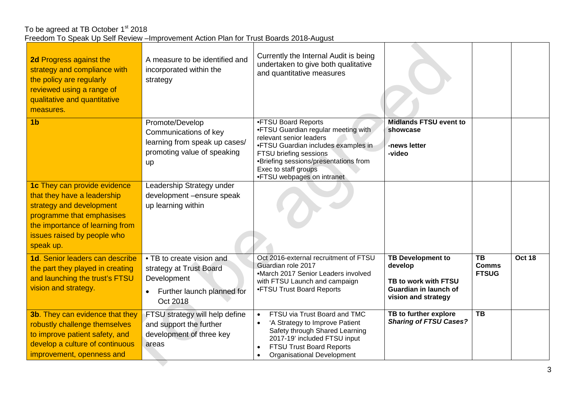| 2d Progress against the<br>strategy and compliance with<br>the policy are regularly<br>reviewed using a range of<br>qualitative and quantitative<br>measures.                                       | A measure to be identified and<br>incorporated within the<br>strategy                                          | Currently the Internal Audit is being<br>undertaken to give both qualitative<br>and quantitative measures                                                                                                                                             |                                                                                                             |                                           |        |
|-----------------------------------------------------------------------------------------------------------------------------------------------------------------------------------------------------|----------------------------------------------------------------------------------------------------------------|-------------------------------------------------------------------------------------------------------------------------------------------------------------------------------------------------------------------------------------------------------|-------------------------------------------------------------------------------------------------------------|-------------------------------------------|--------|
| 1 <sub>b</sub>                                                                                                                                                                                      | Promote/Develop<br>Communications of key<br>learning from speak up cases/<br>promoting value of speaking<br>up | •FTSU Board Reports<br>•FTSU Guardian regular meeting with<br>relevant senior leaders<br>•FTSU Guardian includes examples in<br>FTSU briefing sessions<br>•Briefing sessions/presentations from<br>Exec to staff groups<br>•FTSU webpages on intranet | <b>Midlands FTSU event to</b><br>showcase<br>-news letter<br>-video                                         |                                           |        |
| 1c They can provide evidence<br>that they have a leadership<br>strategy and development<br>programme that emphasises<br>the importance of learning from<br>issues raised by people who<br>speak up. | Leadership Strategy under<br>development -ensure speak<br>up learning within                                   |                                                                                                                                                                                                                                                       |                                                                                                             |                                           |        |
| 1d. Senior leaders can describe<br>the part they played in creating<br>and launching the trust's FTSU<br>vision and strategy.                                                                       | • TB to create vision and<br>strategy at Trust Board<br>Development<br>Further launch planned for<br>Oct 2018  | Oct 2016-external recruitment of FTSU<br>Guardian role 2017<br>•March 2017 Senior Leaders involved<br>with FTSU Launch and campaign<br>•FTSU Trust Board Reports                                                                                      | <b>TB Development to</b><br>develop<br>TB to work with FTSU<br>Guardian in launch of<br>vision and strategy | <b>TB</b><br><b>Comms</b><br><b>FTSUG</b> | Oct 18 |
| <b>3b.</b> They can evidence that they<br>robustly challenge themselves<br>to improve patient safety, and<br>develop a culture of continuous<br>improvement, openness and                           | FTSU strategy will help define<br>and support the further<br>development of three key<br>areas                 | FTSU via Trust Board and TMC<br>$\bullet$<br>'A Strategy to Improve Patient<br>Safety through Shared Learning<br>2017-19' included FTSU input<br>FTSU Trust Board Reports<br>$\bullet$<br><b>Organisational Development</b>                           | <b>TB</b> to further explore<br><b>Sharing of FTSU Cases?</b>                                               | $\overline{TB}$                           |        |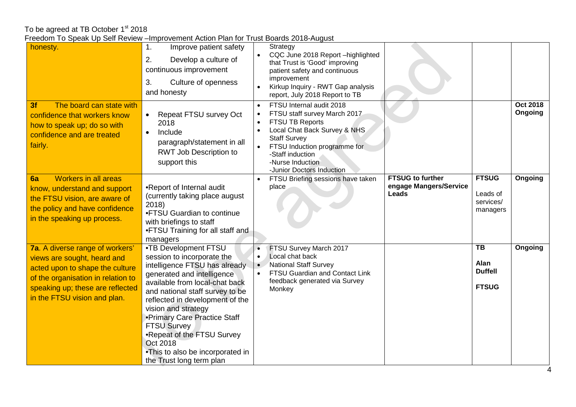To be agreed at TB October 1st 2018

| Freedom To Speak Up Self Review - Improvement Action Plan for Trust Boards 2018-August |
|----------------------------------------------------------------------------------------|
|----------------------------------------------------------------------------------------|

| 1800                                                                                                                                                                                                        |                                                                                                                                                                                                                                                                                                                                                                                                                  | 00.00 = 0 .0 <i>.</i> .0900.                                                                                                                                                                                                            |                                                              |
|-------------------------------------------------------------------------------------------------------------------------------------------------------------------------------------------------------------|------------------------------------------------------------------------------------------------------------------------------------------------------------------------------------------------------------------------------------------------------------------------------------------------------------------------------------------------------------------------------------------------------------------|-----------------------------------------------------------------------------------------------------------------------------------------------------------------------------------------------------------------------------------------|--------------------------------------------------------------|
| honesty.                                                                                                                                                                                                    | Improve patient safety<br>$\mathbf{1}$ .<br>2.<br>Develop a culture of<br>continuous improvement<br>Culture of openness<br>3.<br>and honesty                                                                                                                                                                                                                                                                     | Strategy<br>CQC June 2018 Report -highlighted<br>that Trust is 'Good' improving<br>patient safety and continuous<br>improvement<br>Kirkup Inquiry - RWT Gap analysis<br>report, July 2018 Report to TB                                  |                                                              |
| The board can state with<br>3f<br>confidence that workers know<br>how to speak up; do so with<br>confidence and are treated<br>fairly.                                                                      | Repeat FTSU survey Oct<br>2018<br>Include<br>paragraph/statement in all<br>RWT Job Description to<br>support this                                                                                                                                                                                                                                                                                                | FTSU Internal audit 2018<br>FTSU staff survey March 2017<br>FTSU TB Reports<br>Local Chat Back Survey & NHS<br><b>Staff Survey</b><br>FTSU Induction programme for<br>-Staff induction<br>-Nurse Induction<br>-Junior Doctors Induction | <b>Oct 2018</b><br>Ongoing                                   |
| <b>Workers in all areas</b><br>6a<br>know, understand and support<br>the FTSU vision, are aware of<br>the policy and have confidence<br>in the speaking up process.                                         | •Report of Internal audit<br>(currently taking place august<br>2018<br>•FTSU Guardian to continue<br>with briefings to staff<br>•FTSU Training for all staff and<br>managers                                                                                                                                                                                                                                     | <b>FTSUG to further</b><br>FTSU Briefing sessions have taken<br>engage Mangers/Service<br>place<br><b>Leads</b>                                                                                                                         | <b>FTSUG</b><br>Ongoing<br>Leads of<br>services/<br>managers |
| 7a. A diverse range of workers'<br>views are sought, heard and<br>acted upon to shape the culture<br>of the organisation in relation to<br>speaking up; these are reflected<br>in the FTSU vision and plan. | •TB Development FTSU<br>session to incorporate the<br>intelligence FTSU has already<br>generated and intelligence<br>available from local-chat back<br>and national staff survey to be<br>reflected in development of the<br>vision and strategy<br>•Primary Care Practice Staff<br><b>FTSU Survey</b><br>.Repeat of the FTSU Survey<br>Oct 2018<br>•This to also be incorporated in<br>the Trust long term plan | FTSU Survey March 2017<br>Local chat back<br><b>National Staff Survey</b><br>FTSU Guardian and Contact Link<br>feedback generated via Survey<br>Monkey                                                                                  | TB<br>Ongoing<br>Alan<br><b>Duffell</b><br><b>FTSUG</b>      |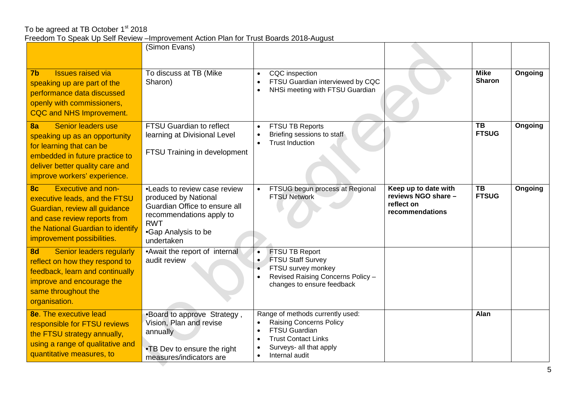|                                                                                                                                                                                                                  | (Simon Evans)                                                                                                                                                         |                                                                                                                                                                                                 |                                 |         |
|------------------------------------------------------------------------------------------------------------------------------------------------------------------------------------------------------------------|-----------------------------------------------------------------------------------------------------------------------------------------------------------------------|-------------------------------------------------------------------------------------------------------------------------------------------------------------------------------------------------|---------------------------------|---------|
| <b>Issues raised via</b><br>7 <sub>b</sub><br>speaking up are part of the<br>performance data discussed<br>openly with commissioners,<br><b>CQC and NHS Improvement.</b>                                         | To discuss at TB (Mike<br>Sharon)                                                                                                                                     | CQC inspection<br>$\bullet$<br>FTSU Guardian interviewed by CQC<br>٠<br>NHSi meeting with FTSU Guardian<br>$\bullet$                                                                            | <b>Mike</b><br><b>Sharon</b>    | Ongoing |
| Senior leaders use<br>8a<br>speaking up as an opportunity<br>for learning that can be<br>embedded in future practice to<br>deliver better quality care and<br>improve workers' experience.                       | <b>FTSU Guardian to reflect</b><br>learning at Divisional Level<br>FTSU Training in development                                                                       | FTSU TB Reports<br>Briefing sessions to staff<br><b>Trust Induction</b><br>$\bullet$                                                                                                            | $\overline{TB}$<br><b>FTSUG</b> | Ongoing |
| <b>Executive and non-</b><br>8 <sub>c</sub><br>executive leads, and the FTSU<br>Guardian, review all guidance<br>and case review reports from<br>the National Guardian to identify<br>improvement possibilities. | • Leads to review case review<br>produced by National<br>Guardian Office to ensure all<br>recommendations apply to<br><b>RWT</b><br>•Gap Analysis to be<br>undertaken | Keep up to date with<br>FTSUG begun process at Regional<br>reviews NGO share -<br><b>FTSU Network</b><br>reflect on<br>recommendations                                                          | TB<br><b>FTSUG</b>              | Ongoing |
| 8d<br>Senior leaders regularly<br>reflect on how they respond to<br>feedback, learn and continually<br>improve and encourage the<br>same throughout the<br>organisation.                                         | • Await the report of internal<br>audit review                                                                                                                        | FTSU TB Report<br>$\bullet$<br><b>FTSU Staff Survey</b><br>$\bullet$<br>FTSU survey monkey<br>Revised Raising Concerns Policy -<br>changes to ensure feedback                                   |                                 |         |
| <b>8e.</b> The executive lead<br>responsible for FTSU reviews<br>the FTSU strategy annually,<br>using a range of qualitative and<br>quantitative measures, to                                                    | •Board to approve Strategy,<br>Vision, Plan and revise<br>annually<br>•TB Dev to ensure the right<br>measures/indicators are                                          | Range of methods currently used:<br><b>Raising Concerns Policy</b><br>$\bullet$<br><b>FTSU Guardian</b><br><b>Trust Contact Links</b><br>Surveys- all that apply<br>Internal audit<br>$\bullet$ | Alan                            |         |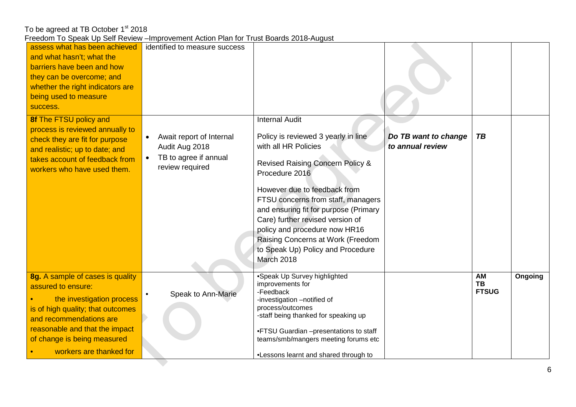| 0000 To opodit op con Roviow      | <b>INTERNATIONAL ACTION LIGHT TO LIGHT DOCTOR LOT OF ACTION</b> |                                                                                |                      |              |         |
|-----------------------------------|-----------------------------------------------------------------|--------------------------------------------------------------------------------|----------------------|--------------|---------|
| assess what has been achieved     | identified to measure success                                   |                                                                                |                      |              |         |
| and what hasn't; what the         |                                                                 |                                                                                |                      |              |         |
| barriers have been and how        |                                                                 |                                                                                |                      |              |         |
| they can be overcome; and         |                                                                 |                                                                                |                      |              |         |
| whether the right indicators are  |                                                                 |                                                                                |                      |              |         |
| being used to measure             |                                                                 |                                                                                |                      |              |         |
| success.                          |                                                                 |                                                                                |                      |              |         |
| 8f The FTSU policy and            |                                                                 | <b>Internal Audit</b>                                                          |                      |              |         |
| process is reviewed annually to   |                                                                 |                                                                                |                      |              |         |
| check they are fit for purpose    | Await report of Internal                                        | Policy is reviewed 3 yearly in line                                            | Do TB want to change | <b>TB</b>    |         |
| and realistic; up to date; and    | Audit Aug 2018                                                  | with all HR Policies                                                           | to annual review     |              |         |
| takes account of feedback from    | TB to agree if annual                                           |                                                                                |                      |              |         |
| workers who have used them.       | review required                                                 | <b>Revised Raising Concern Policy &amp;</b>                                    |                      |              |         |
|                                   |                                                                 | Procedure 2016                                                                 |                      |              |         |
|                                   |                                                                 | However due to feedback from                                                   |                      |              |         |
|                                   |                                                                 | FTSU concerns from staff, managers                                             |                      |              |         |
|                                   |                                                                 | and ensuring fit for purpose (Primary                                          |                      |              |         |
|                                   |                                                                 | Care) further revised version of                                               |                      |              |         |
|                                   |                                                                 | policy and procedure now HR16                                                  |                      |              |         |
|                                   |                                                                 | Raising Concerns at Work (Freedom                                              |                      |              |         |
|                                   |                                                                 | to Speak Up) Policy and Procedure                                              |                      |              |         |
|                                   |                                                                 | March 2018                                                                     |                      |              |         |
|                                   |                                                                 |                                                                                |                      |              |         |
| 8g. A sample of cases is quality  |                                                                 | •Speak Up Survey highlighted                                                   |                      | AM           | Ongoing |
| assured to ensure:                |                                                                 | improvements for                                                               |                      | <b>TB</b>    |         |
| the investigation process         | Speak to Ann-Marie<br>$\bullet$                                 | -Feedback<br>-investigation -notified of                                       |                      | <b>FTSUG</b> |         |
| is of high quality; that outcomes |                                                                 | process/outcomes                                                               |                      |              |         |
| and recommendations are           |                                                                 | -staff being thanked for speaking up                                           |                      |              |         |
| reasonable and that the impact    |                                                                 |                                                                                |                      |              |         |
| of change is being measured       |                                                                 | .FTSU Guardian -presentations to staff<br>teams/smb/mangers meeting forums etc |                      |              |         |
|                                   |                                                                 |                                                                                |                      |              |         |
| workers are thanked for           |                                                                 | .Lessons learnt and shared through to                                          |                      |              |         |
|                                   |                                                                 |                                                                                |                      |              |         |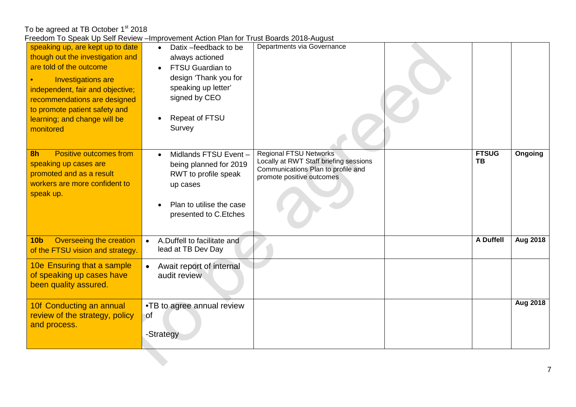| Production that we can be continued to the control of the control of the control of the control of the control of the control of the control of the control of the control of the control of the control of the control of the                                                 | <b>INDIVISION ANOTHER INTERNATIONAL POLICE AND A REQUOI</b>                                                                                                |                                                                                                                                            |                           |                 |
|--------------------------------------------------------------------------------------------------------------------------------------------------------------------------------------------------------------------------------------------------------------------------------|------------------------------------------------------------------------------------------------------------------------------------------------------------|--------------------------------------------------------------------------------------------------------------------------------------------|---------------------------|-----------------|
| speaking up, are kept up to date<br>though out the investigation and<br>are told of the outcome<br><b>Investigations are</b><br>independent, fair and objective;<br>recommendations are designed<br>to promote patient safety and<br>learning; and change will be<br>monitored | Datix - feedback to be<br>always actioned<br>FTSU Guardian to<br>design 'Thank you for<br>speaking up letter'<br>signed by CEO<br>Repeat of FTSU<br>Survey | Departments via Governance                                                                                                                 |                           |                 |
| <b>Positive outcomes from</b><br>8 <sub>h</sub><br>speaking up cases are<br>promoted and as a result<br>workers are more confident to<br>speak up.                                                                                                                             | Midlands FTSU Event-<br>being planned for 2019<br>RWT to profile speak<br>up cases<br>Plan to utilise the case<br>presented to C.Etches                    | <b>Regional FTSU Networks</b><br>Locally at RWT Staff briefing sessions<br>Communications Plan to profile and<br>promote positive outcomes | <b>FTSUG</b><br><b>TB</b> | Ongoing         |
| Overseeing the creation<br>10 <sub>b</sub><br>of the FTSU vision and strategy.                                                                                                                                                                                                 | A.Duffell to facilitate and<br>$\bullet$<br>lead at TB Dev Day                                                                                             |                                                                                                                                            | A Duffell                 | <b>Aug 2018</b> |
| 10e Ensuring that a sample<br>of speaking up cases have<br>been quality assured.                                                                                                                                                                                               | Await report of internal<br>$\bullet$<br>audit review                                                                                                      |                                                                                                                                            |                           |                 |
| 10f Conducting an annual<br>review of the strategy, policy<br>and process.                                                                                                                                                                                                     | •TB to agree annual review<br>∖of<br>-Strategy                                                                                                             |                                                                                                                                            |                           | Aug 2018        |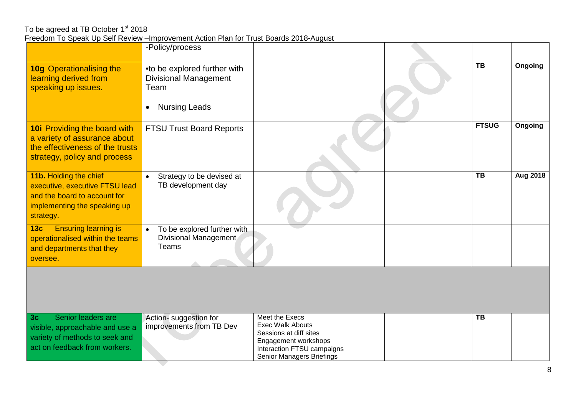|                                                                                                                                            | -Policy/process                                                                                           |                                                                                                                                                        |                        |                 |
|--------------------------------------------------------------------------------------------------------------------------------------------|-----------------------------------------------------------------------------------------------------------|--------------------------------------------------------------------------------------------------------------------------------------------------------|------------------------|-----------------|
| <b>10g Operationalising the</b><br>learning derived from<br>speaking up issues.                                                            | •to be explored further with<br><b>Divisional Management</b><br>Team<br><b>Nursing Leads</b><br>$\bullet$ |                                                                                                                                                        | $\overline{\text{TB}}$ | <b>Ongoing</b>  |
| <b>10i</b> Providing the board with<br>a variety of assurance about<br>the effectiveness of the trusts<br>strategy, policy and process     | <b>FTSU Trust Board Reports</b>                                                                           |                                                                                                                                                        | <b>FTSUG</b>           | Ongoing         |
| 11b. Holding the chief<br>executive, executive FTSU lead<br>and the board to account for<br>implementing the speaking up<br>strategy.      | Strategy to be devised at<br>TB development day                                                           |                                                                                                                                                        | $\overline{TB}$        | <b>Aug 2018</b> |
| <b>Ensuring learning is</b><br>13 <sub>c</sub><br>operationalised within the teams<br>and departments that they<br>oversee.                | To be explored further with<br>$\bullet$<br><b>Divisional Management</b><br>Teams                         |                                                                                                                                                        |                        |                 |
|                                                                                                                                            |                                                                                                           |                                                                                                                                                        |                        |                 |
| Senior leaders are<br>3 <sub>c</sub><br>visible, approachable and use a<br>variety of methods to seek and<br>act on feedback from workers. | Action-suggestion for<br>improvements from TB Dev                                                         | Meet the Execs<br><b>Exec Walk Abouts</b><br>Sessions at diff sites<br>Engagement workshops<br>Interaction FTSU campaigns<br>Senior Managers Briefings | <b>TB</b>              |                 |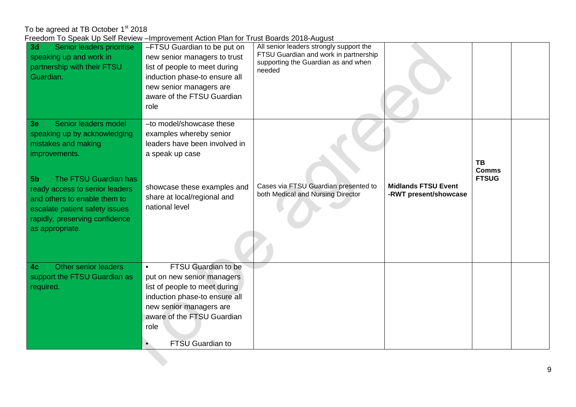| 3d<br>Senior leaders prioritise<br>speaking up and work in<br>partnership with their FTSU<br>Guardian.                                                                                                                                                                                        | -FTSU Guardian to be put on<br>new senior managers to trust<br>list of people to meet during<br>induction phase-to ensure all<br>new senior managers are<br>aware of the FTSU Guardian<br>role                               | All senior leaders strongly support the<br>FTSU Guardian and work in partnership<br>supporting the Guardian as and when<br>needed |                                                     |                                    |  |
|-----------------------------------------------------------------------------------------------------------------------------------------------------------------------------------------------------------------------------------------------------------------------------------------------|------------------------------------------------------------------------------------------------------------------------------------------------------------------------------------------------------------------------------|-----------------------------------------------------------------------------------------------------------------------------------|-----------------------------------------------------|------------------------------------|--|
| Senior leaders model<br>3e<br>speaking up by acknowledging<br>mistakes and making<br>improvements.<br>The FTSU Guardian has<br>$-5b$<br>ready access to senior leaders<br>and others to enable them to<br>escalate patient safety issues<br>rapidly, preserving confidence<br>as appropriate. | -to model/showcase these<br>examples whereby senior<br>leaders have been involved in<br>a speak up case<br>showcase these examples and<br>share at local/regional and<br>national level                                      | Cases via FTSU Guardian presented to<br>both Medical and Nursing Director                                                         | <b>Midlands FTSU Event</b><br>-RWT present/showcase | TB<br><b>Comms</b><br><b>FTSUG</b> |  |
| Other senior leaders<br>4c<br>support the FTSU Guardian as<br>required.                                                                                                                                                                                                                       | FTSU Guardian to be<br>$\bullet$<br>put on new senior managers<br>list of people to meet during<br>induction phase-to ensure all<br>new senior managers are<br>aware of the FTSU Guardian<br>role<br><b>FTSU Guardian to</b> |                                                                                                                                   |                                                     |                                    |  |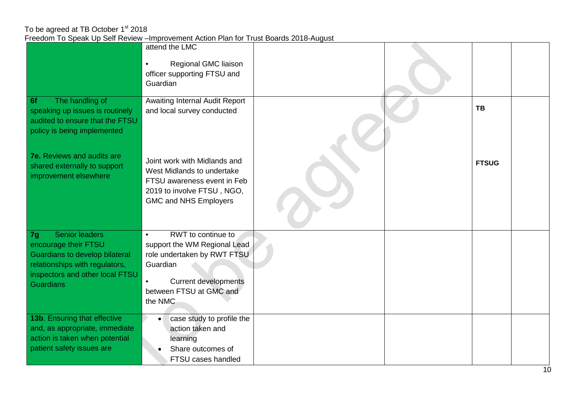|                                                             | attend the LMC                                               |  |              |  |
|-------------------------------------------------------------|--------------------------------------------------------------|--|--------------|--|
|                                                             | Regional GMC liaison<br>$\bullet$                            |  |              |  |
|                                                             | officer supporting FTSU and                                  |  |              |  |
|                                                             | Guardian                                                     |  |              |  |
|                                                             |                                                              |  |              |  |
| The handling of<br>6f<br>speaking up issues is routinely    | Awaiting Internal Audit Report<br>and local survey conducted |  | <b>TB</b>    |  |
| audited to ensure that the FTSU                             |                                                              |  |              |  |
| policy is being implemented                                 |                                                              |  |              |  |
|                                                             |                                                              |  |              |  |
| <b>7e.</b> Reviews and audits are                           |                                                              |  |              |  |
|                                                             | Joint work with Midlands and                                 |  | <b>FTSUG</b> |  |
| shared externally to support<br>improvement elsewhere       | West Midlands to undertake                                   |  |              |  |
|                                                             | FTSU awareness event in Feb                                  |  |              |  |
|                                                             | 2019 to involve FTSU, NGO,                                   |  |              |  |
|                                                             | <b>GMC and NHS Employers</b>                                 |  |              |  |
|                                                             |                                                              |  |              |  |
|                                                             |                                                              |  |              |  |
| <b>Senior leaders</b><br>7g                                 | RWT to continue to<br>$\bullet$                              |  |              |  |
| encourage their FTSU                                        | support the WM Regional Lead                                 |  |              |  |
| <b>Guardians to develop bilateral</b>                       | role undertaken by RWT FTSU                                  |  |              |  |
| relationships with regulators,                              | Guardian                                                     |  |              |  |
| inspectors and other local FTSU                             | <b>Current developments</b><br>$\bullet$                     |  |              |  |
| <b>Guardians</b>                                            | between FTSU at GMC and                                      |  |              |  |
|                                                             | the NMC                                                      |  |              |  |
|                                                             |                                                              |  |              |  |
| 13b. Ensuring that effective                                | case study to profile the                                    |  |              |  |
| and, as appropriate, immediate                              | action taken and                                             |  |              |  |
| action is taken when potential<br>patient safety issues are | learning                                                     |  |              |  |
|                                                             | Share outcomes of                                            |  |              |  |
|                                                             | FTSU cases handled                                           |  |              |  |